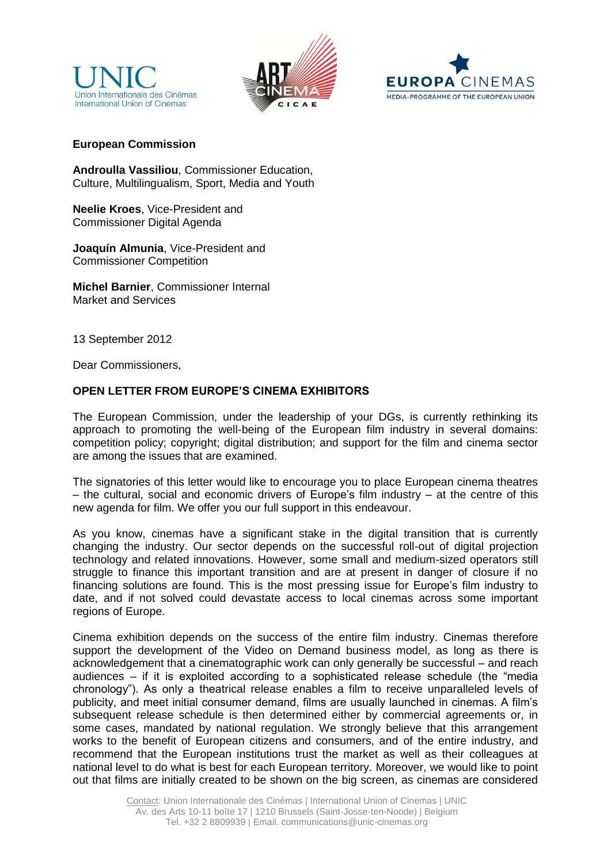





## **European Commission**

**Androulla Vassiliou**, Commissioner Education, Culture, Multilingualism, Sport, Media and Youth

**Neelie Kroes**, Vice-President and Commissioner Digital Agenda

**Joaquín Almunia**, Vice-President and Commissioner Competition

**Michel Barnier**, Commissioner Internal Market and Services

13 September 2012

Dear Commissioners,

## **OPEN LETTER FROM EUROPE'S CINEMA EXHIBITORS**

The European Commission, under the leadership of your DGs, is currently rethinking its approach to promoting the well-being of the European film industry in several domains: competition policy; copyright; digital distribution; and support for the film and cinema sector are among the issues that are examined.

The signatories of this letter would like to encourage you to place European cinema theatres – the cultural, social and economic drivers of Europe's film industry – at the centre of this new agenda for film. We offer you our full support in this endeavour.

As you know, cinemas have a significant stake in the digital transition that is currently changing the industry. Our sector depends on the successful roll-out of digital projection technology and related innovations. However, some small and medium-sized operators still struggle to finance this important transition and are at present in danger of closure if no financing solutions are found. This is the most pressing issue for Europe's film industry to date, and if not solved could devastate access to local cinemas across some important regions of Europe.

Cinema exhibition depends on the success of the entire film industry. Cinemas therefore support the development of the Video on Demand business model, as long as there is acknowledgement that a cinematographic work can only generally be successful – and reach audiences – if it is exploited according to a sophisticated release schedule (the "media chronology"). As only a theatrical release enables a film to receive unparalleled levels of publicity, and meet initial consumer demand, films are usually launched in cinemas. A film's subsequent release schedule is then determined either by commercial agreements or, in some cases, mandated by national regulation. We strongly believe that this arrangement works to the benefit of European citizens and consumers, and of the entire industry, and recommend that the European institutions trust the market as well as their colleagues at national level to do what is best for each European territory. Moreover, we would like to point out that films are initially created to be shown on the big screen, as cinemas are considered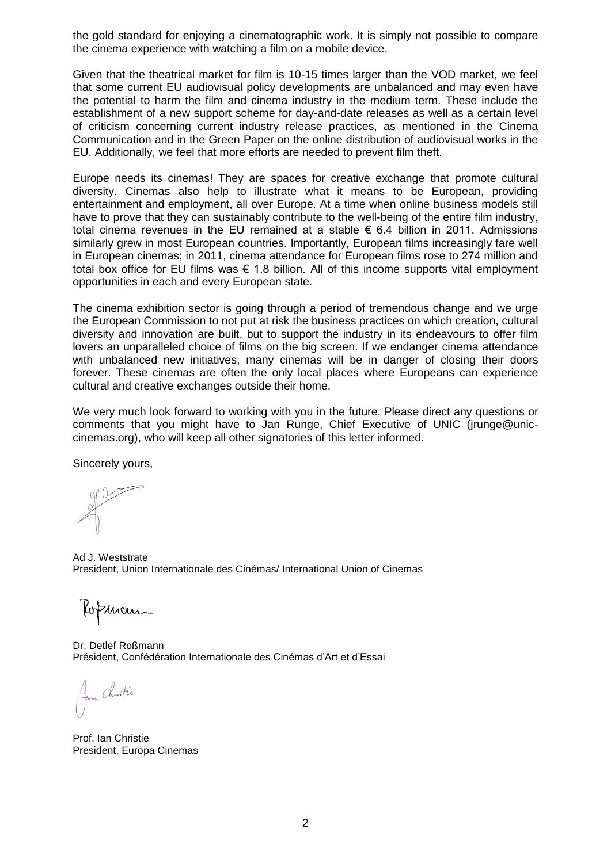the gold standard for enjoying a cinematographic work. It is simply not possible to compare the cinema experience with watching a film on a mobile device.

Given that the theatrical market for film is 10-15 times larger than the VOD market, we feel that some current EU audiovisual policy developments are unbalanced and may even have the potential to harm the film and cinema industry in the medium term. These include the establishment of a new support scheme for day-and-date releases as well as a certain level of criticism concerning current industry release practices, as mentioned in the Cinema Communication and in the Green Paper on the online distribution of audiovisual works in the EU. Additionally, we feel that more efforts are needed to prevent film theft.

Europe needs its cinemas! They are spaces for creative exchange that promote cultural diversity. Cinemas also help to illustrate what it means to be European, providing entertainment and employment, all over Europe. At a time when online business models still have to prove that they can sustainably contribute to the well-being of the entire film industry, total cinema revenues in the EU remained at a stable  $\epsilon$  6.4 billion in 2011. Admissions similarly grew in most European countries. Importantly, European films increasingly fare well in European cinemas; in 2011, cinema attendance for European films rose to 274 million and total box office for EU films was  $\epsilon$  1.8 billion. All of this income supports vital employment opportunities in each and every European state.

The cinema exhibition sector is going through a period of tremendous change and we urge the European Commission to not put at risk the business practices on which creation, cultural diversity and innovation are built, but to support the industry in its endeavours to offer film lovers an unparalleled choice of films on the big screen. If we endanger cinema attendance with unbalanced new initiatives, many cinemas will be in danger of closing their doors forever. These cinemas are often the only local places where Europeans can experience cultural and creative exchanges outside their home.

We very much look forward to working with you in the future. Please direct any questions or comments that you might have to Jan Runge, Chief Executive of UNIC (jrunge@uniccinemas.org), who will keep all other signatories of this letter informed.

Sincerely yours,

Ad J. Weststrate President, Union Internationale des Cinémas/ International Union of Cinemas

Kopman

Dr. Detlef Roßmann Président, Confédération Internationale des Cinémas d'Art et d'Essai

Jan Christie

Prof. Ian Christie President, Europa Cinemas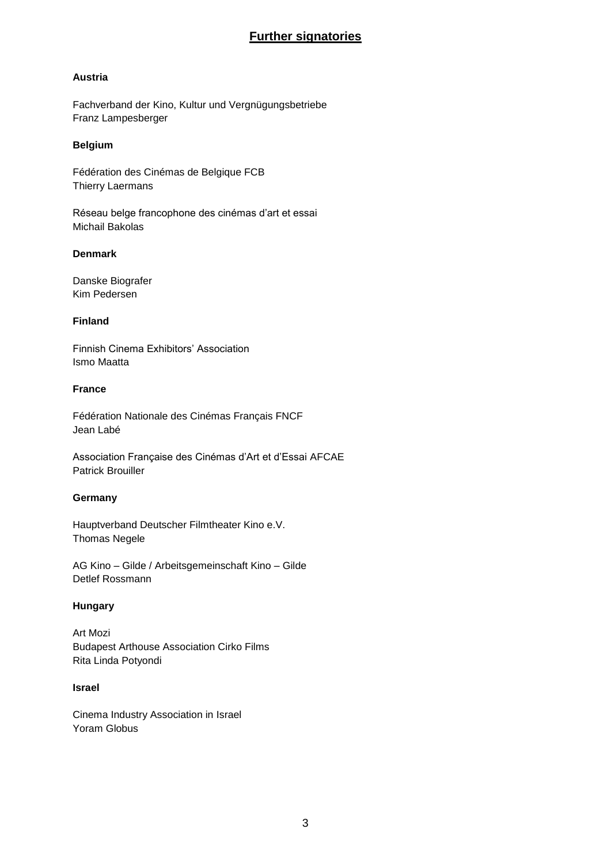# **Further signatories**

## **Austria**

Fachverband der Kino, Kultur und Vergnügungsbetriebe Franz Lampesberger

### **Belgium**

Fédération des Cinémas de Belgique FCB Thierry Laermans

Réseau belge francophone des cinémas d'art et essai Michail Bakolas

## **Denmark**

Danske Biografer Kim Pedersen

## **Finland**

Finnish Cinema Exhibitors' Association Ismo Maatta

## **France**

Fédération Nationale des Cinémas Français FNCF Jean Labé

Association Française des Cinémas d'Art et d'Essai AFCAE Patrick Brouiller

## **Germany**

Hauptverband Deutscher Filmtheater Kino e.V. Thomas Negele

AG Kino – Gilde / Arbeitsgemeinschaft Kino – Gilde Detlef Rossmann

## **Hungary**

Art Mozi Budapest Arthouse Association Cirko Films Rita Linda Potyondi

#### **Israel**

Cinema Industry Association in Israel Yoram Globus